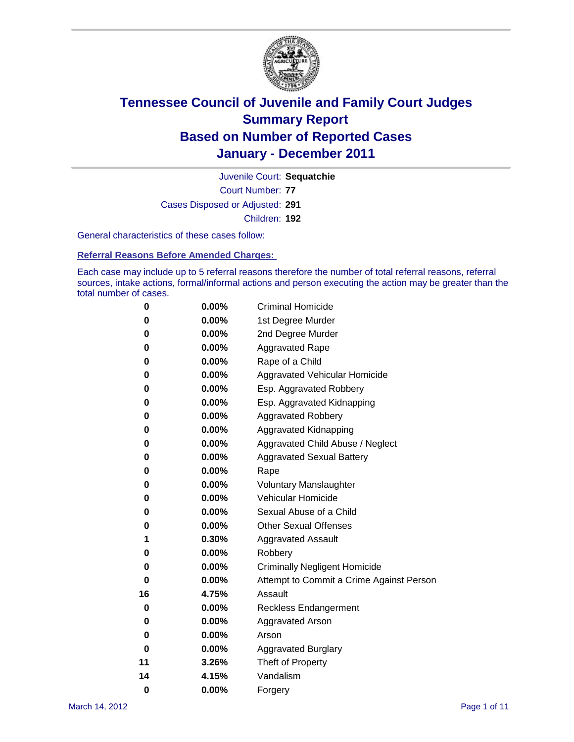

Court Number: **77** Juvenile Court: **Sequatchie** Cases Disposed or Adjusted: **291** Children: **192**

General characteristics of these cases follow:

**Referral Reasons Before Amended Charges:** 

Each case may include up to 5 referral reasons therefore the number of total referral reasons, referral sources, intake actions, formal/informal actions and person executing the action may be greater than the total number of cases.

| 0  | 0.00%    | <b>Criminal Homicide</b>                 |
|----|----------|------------------------------------------|
| 0  | 0.00%    | 1st Degree Murder                        |
| 0  | 0.00%    | 2nd Degree Murder                        |
| 0  | 0.00%    | <b>Aggravated Rape</b>                   |
| 0  | 0.00%    | Rape of a Child                          |
| 0  | 0.00%    | Aggravated Vehicular Homicide            |
| 0  | 0.00%    | Esp. Aggravated Robbery                  |
| 0  | 0.00%    | Esp. Aggravated Kidnapping               |
| 0  | 0.00%    | <b>Aggravated Robbery</b>                |
| 0  | 0.00%    | Aggravated Kidnapping                    |
| 0  | 0.00%    | Aggravated Child Abuse / Neglect         |
| 0  | $0.00\%$ | <b>Aggravated Sexual Battery</b>         |
| 0  | 0.00%    | Rape                                     |
| 0  | $0.00\%$ | <b>Voluntary Manslaughter</b>            |
| 0  | 0.00%    | Vehicular Homicide                       |
| 0  | 0.00%    | Sexual Abuse of a Child                  |
| 0  | 0.00%    | <b>Other Sexual Offenses</b>             |
| 1  | 0.30%    | <b>Aggravated Assault</b>                |
| 0  | $0.00\%$ | Robbery                                  |
| 0  | 0.00%    | <b>Criminally Negligent Homicide</b>     |
| 0  | 0.00%    | Attempt to Commit a Crime Against Person |
| 16 | 4.75%    | Assault                                  |
| 0  | 0.00%    | <b>Reckless Endangerment</b>             |
| 0  | 0.00%    | <b>Aggravated Arson</b>                  |
| 0  | 0.00%    | Arson                                    |
| 0  | 0.00%    | <b>Aggravated Burglary</b>               |
| 11 | 3.26%    | Theft of Property                        |
| 14 | 4.15%    | Vandalism                                |
| 0  | 0.00%    | Forgery                                  |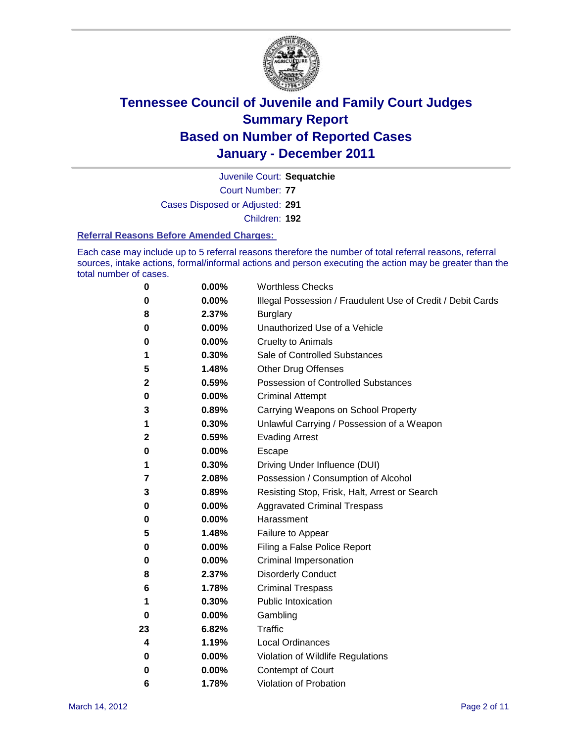

Court Number: **77** Juvenile Court: **Sequatchie** Cases Disposed or Adjusted: **291**

Children: **192**

#### **Referral Reasons Before Amended Charges:**

Each case may include up to 5 referral reasons therefore the number of total referral reasons, referral sources, intake actions, formal/informal actions and person executing the action may be greater than the total number of cases.

| 0  | 0.00% | <b>Worthless Checks</b>                                     |
|----|-------|-------------------------------------------------------------|
| 0  | 0.00% | Illegal Possession / Fraudulent Use of Credit / Debit Cards |
| 8  | 2.37% | <b>Burglary</b>                                             |
| 0  | 0.00% | Unauthorized Use of a Vehicle                               |
| 0  | 0.00% | <b>Cruelty to Animals</b>                                   |
| 1  | 0.30% | Sale of Controlled Substances                               |
| 5  | 1.48% | <b>Other Drug Offenses</b>                                  |
| 2  | 0.59% | Possession of Controlled Substances                         |
| 0  | 0.00% | <b>Criminal Attempt</b>                                     |
| 3  | 0.89% | Carrying Weapons on School Property                         |
| 1  | 0.30% | Unlawful Carrying / Possession of a Weapon                  |
| 2  | 0.59% | <b>Evading Arrest</b>                                       |
| 0  | 0.00% | Escape                                                      |
| 1  | 0.30% | Driving Under Influence (DUI)                               |
| 7  | 2.08% | Possession / Consumption of Alcohol                         |
| 3  | 0.89% | Resisting Stop, Frisk, Halt, Arrest or Search               |
| 0  | 0.00% | <b>Aggravated Criminal Trespass</b>                         |
| 0  | 0.00% | Harassment                                                  |
| 5  | 1.48% | Failure to Appear                                           |
| 0  | 0.00% | Filing a False Police Report                                |
| 0  | 0.00% | Criminal Impersonation                                      |
| 8  | 2.37% | <b>Disorderly Conduct</b>                                   |
| 6  | 1.78% | <b>Criminal Trespass</b>                                    |
| 1  | 0.30% | <b>Public Intoxication</b>                                  |
| 0  | 0.00% | Gambling                                                    |
| 23 | 6.82% | <b>Traffic</b>                                              |
| 4  | 1.19% | <b>Local Ordinances</b>                                     |
| 0  | 0.00% | Violation of Wildlife Regulations                           |
| 0  | 0.00% | Contempt of Court                                           |
| 6  | 1.78% | Violation of Probation                                      |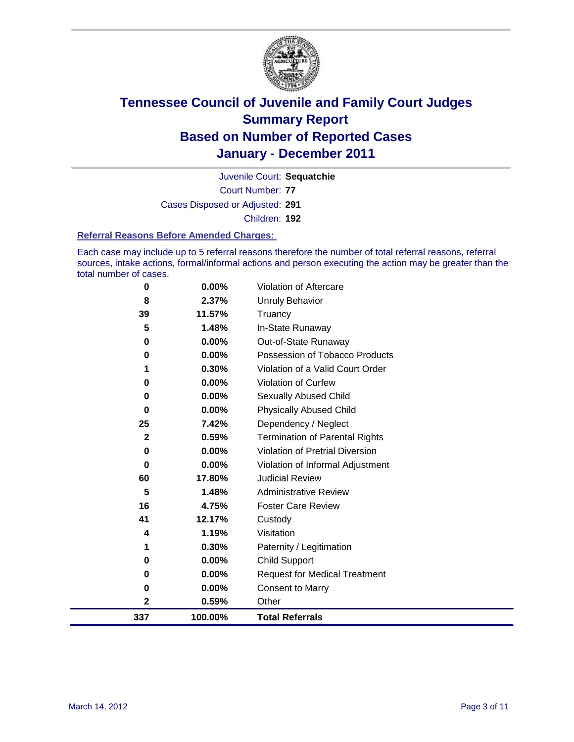

Court Number: **77** Juvenile Court: **Sequatchie** Cases Disposed or Adjusted: **291** Children: **192**

#### **Referral Reasons Before Amended Charges:**

Each case may include up to 5 referral reasons therefore the number of total referral reasons, referral sources, intake actions, formal/informal actions and person executing the action may be greater than the total number of cases.

| 337           | 100.00%        | <b>Total Referrals</b>                                 |
|---------------|----------------|--------------------------------------------------------|
| $\mathbf{2}$  | 0.59%          | Other                                                  |
| 0             | 0.00%          | <b>Consent to Marry</b>                                |
| 0             | 0.00%          | <b>Request for Medical Treatment</b>                   |
| 0             | 0.00%          | <b>Child Support</b>                                   |
| 1             | 0.30%          | Paternity / Legitimation                               |
| 4             | 1.19%          | Visitation                                             |
| 41            | 12.17%         | Custody                                                |
| 16            | 4.75%          | <b>Foster Care Review</b>                              |
| 5             | 1.48%          | <b>Administrative Review</b>                           |
| 60            | 17.80%         | <b>Judicial Review</b>                                 |
| 0             | 0.00%          | Violation of Informal Adjustment                       |
| $\bf{0}$      | 0.00%          | <b>Violation of Pretrial Diversion</b>                 |
| 2             | 0.59%          | <b>Termination of Parental Rights</b>                  |
| 25            | 7.42%          | Dependency / Neglect                                   |
| $\bf{0}$      | 0.00%          | <b>Physically Abused Child</b>                         |
| 0             | 0.00%          | <b>Sexually Abused Child</b>                           |
| 0             | 0.00%          | Violation of Curfew                                    |
|               | 0.30%          | Violation of a Valid Court Order                       |
| 0<br>$\bf{0}$ | 0.00%<br>0.00% | Out-of-State Runaway<br>Possession of Tobacco Products |
| 5             | 1.48%          | In-State Runaway                                       |
| 39            | 11.57%         | Truancy                                                |
| 8             | 2.37%          | <b>Unruly Behavior</b>                                 |
| 0             | 0.00%          | Violation of Aftercare                                 |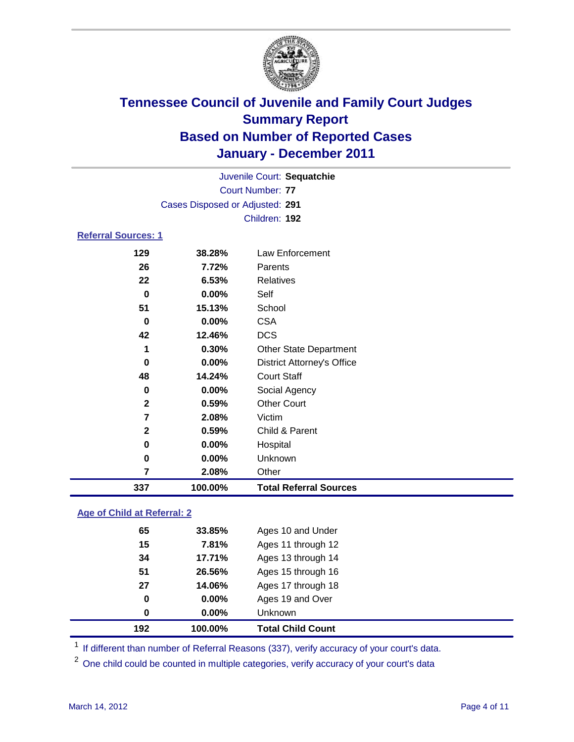

|                            |                                 | Juvenile Court: Sequatchie        |  |
|----------------------------|---------------------------------|-----------------------------------|--|
| <b>Court Number: 77</b>    |                                 |                                   |  |
|                            | Cases Disposed or Adjusted: 291 |                                   |  |
|                            |                                 | Children: 192                     |  |
| <b>Referral Sources: 1</b> |                                 |                                   |  |
| 129                        | 38.28%                          | Law Enforcement                   |  |
| 26                         | 7.72%                           | Parents                           |  |
| 22                         | 6.53%                           | Relatives                         |  |
| 0                          | $0.00\%$                        | Self                              |  |
| 51                         | 15.13%                          | School                            |  |
| 0                          | 0.00%                           | <b>CSA</b>                        |  |
| 42                         | 12.46%                          | <b>DCS</b>                        |  |
| 1                          | 0.30%                           | <b>Other State Department</b>     |  |
| 0                          | 0.00%                           | <b>District Attorney's Office</b> |  |
| 48                         | 14.24%                          | <b>Court Staff</b>                |  |
| 0                          | $0.00\%$                        | Social Agency                     |  |
| $\mathbf{2}$               | $0.59\%$                        | <b>Other Court</b>                |  |
| 7                          | 2.08%                           | Victim                            |  |
| $\mathbf{2}$               | 0.59%                           | Child & Parent                    |  |
| 0                          | 0.00%                           | Hospital                          |  |

# **Age of Child at Referral: 2**

| 192 | 100.00%       | <b>Total Child Count</b> |
|-----|---------------|--------------------------|
|     | $0.00\%$<br>0 | <b>Unknown</b>           |
|     | 0.00%<br>0    | Ages 19 and Over         |
| 27  | 14.06%        | Ages 17 through 18       |
| 51  | 26.56%        | Ages 15 through 16       |
| 34  | 17.71%        | Ages 13 through 14       |
| 15  | 7.81%         | Ages 11 through 12       |
| 65  | 33.85%        | Ages 10 and Under        |
|     |               |                          |

<sup>1</sup> If different than number of Referral Reasons (337), verify accuracy of your court's data.

 **0.00%** Unknown **2.08%** Other

**100.00% Total Referral Sources**

<sup>2</sup> One child could be counted in multiple categories, verify accuracy of your court's data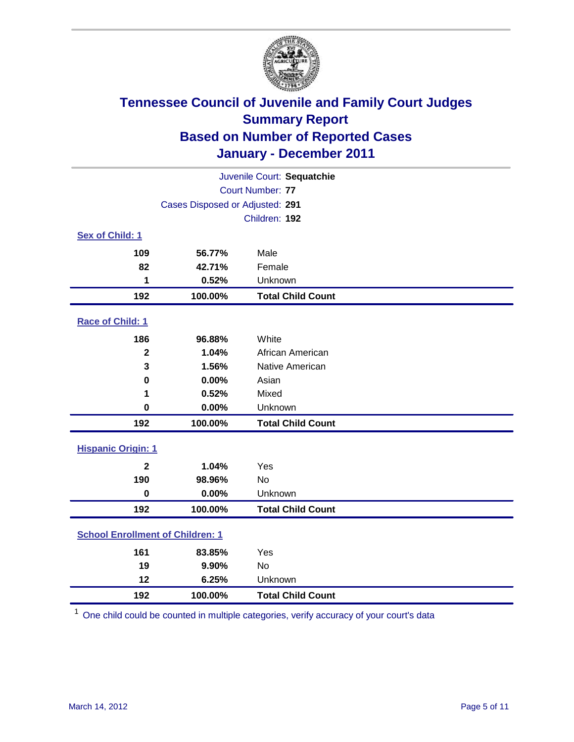

| Juvenile Court: Sequatchie              |                                 |                          |  |
|-----------------------------------------|---------------------------------|--------------------------|--|
|                                         | <b>Court Number: 77</b>         |                          |  |
|                                         | Cases Disposed or Adjusted: 291 |                          |  |
| Children: 192                           |                                 |                          |  |
| Sex of Child: 1                         |                                 |                          |  |
| 109                                     | 56.77%                          | Male                     |  |
| 82                                      | 42.71%                          | Female                   |  |
| 1                                       | 0.52%                           | Unknown                  |  |
| 192                                     | 100.00%                         | <b>Total Child Count</b> |  |
| Race of Child: 1                        |                                 |                          |  |
| 186                                     | 96.88%                          | White                    |  |
| $\mathbf{2}$                            | 1.04%                           | African American         |  |
| 3                                       | 1.56%                           | Native American          |  |
| 0                                       | 0.00%                           | Asian                    |  |
| 1                                       | 0.52%                           | Mixed                    |  |
| $\pmb{0}$                               | 0.00%                           | Unknown                  |  |
| 192                                     | 100.00%                         | <b>Total Child Count</b> |  |
| <b>Hispanic Origin: 1</b>               |                                 |                          |  |
| $\overline{\mathbf{2}}$                 | 1.04%                           | Yes                      |  |
| 190                                     | 98.96%                          | <b>No</b>                |  |
| $\mathbf 0$                             | 0.00%                           | Unknown                  |  |
| 192                                     | 100.00%                         | <b>Total Child Count</b> |  |
| <b>School Enrollment of Children: 1</b> |                                 |                          |  |
| 161                                     | 83.85%                          | Yes                      |  |
| 19                                      | 9.90%                           | <b>No</b>                |  |
| 12                                      | 6.25%                           | Unknown                  |  |
| 192                                     | 100.00%                         | <b>Total Child Count</b> |  |

One child could be counted in multiple categories, verify accuracy of your court's data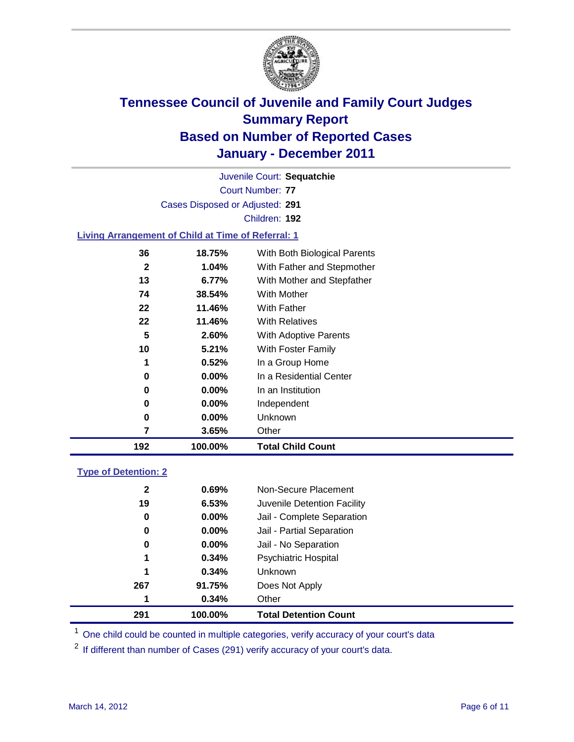

Court Number: **77** Juvenile Court: **Sequatchie** Cases Disposed or Adjusted: **291** Children: **192**

#### **Living Arrangement of Child at Time of Referral: 1**

| 192 | 100.00%  | <b>Total Child Count</b>     |
|-----|----------|------------------------------|
| 7   | 3.65%    | Other                        |
| 0   | $0.00\%$ | Unknown                      |
| 0   | $0.00\%$ | Independent                  |
| 0   | 0.00%    | In an Institution            |
| 0   | $0.00\%$ | In a Residential Center      |
| 1   | 0.52%    | In a Group Home              |
| 10  | 5.21%    | With Foster Family           |
| 5   | 2.60%    | With Adoptive Parents        |
| 22  | 11.46%   | <b>With Relatives</b>        |
| 22  | 11.46%   | With Father                  |
| 74  | 38.54%   | With Mother                  |
| 13  | 6.77%    | With Mother and Stepfather   |
| 2   | 1.04%    | With Father and Stepmother   |
| 36  | 18.75%   | With Both Biological Parents |
|     |          |                              |

#### **Type of Detention: 2**

| 291          | 100.00%  | <b>Total Detention Count</b> |
|--------------|----------|------------------------------|
| 1            | 0.34%    | Other                        |
| 267          | 91.75%   | Does Not Apply               |
| 1            | 0.34%    | Unknown                      |
| 1            | 0.34%    | Psychiatric Hospital         |
| 0            | 0.00%    | Jail - No Separation         |
| 0            | $0.00\%$ | Jail - Partial Separation    |
| 0            | $0.00\%$ | Jail - Complete Separation   |
| 19           | 6.53%    | Juvenile Detention Facility  |
| $\mathbf{2}$ | 0.69%    | Non-Secure Placement         |
|              |          |                              |

<sup>1</sup> One child could be counted in multiple categories, verify accuracy of your court's data

<sup>2</sup> If different than number of Cases (291) verify accuracy of your court's data.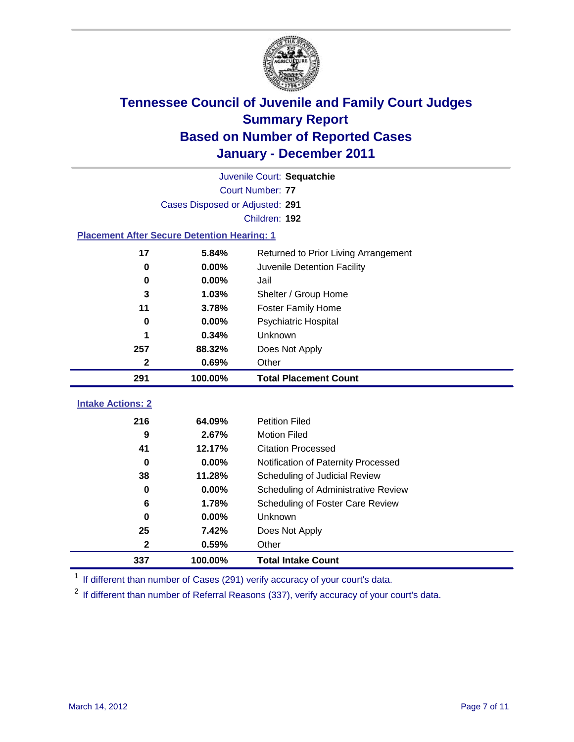

| Juvenile Court: Sequatchie                         |                                 |                                      |  |  |  |
|----------------------------------------------------|---------------------------------|--------------------------------------|--|--|--|
|                                                    | <b>Court Number: 77</b>         |                                      |  |  |  |
|                                                    | Cases Disposed or Adjusted: 291 |                                      |  |  |  |
|                                                    | Children: 192                   |                                      |  |  |  |
| <b>Placement After Secure Detention Hearing: 1</b> |                                 |                                      |  |  |  |
| 17                                                 | 5.84%                           | Returned to Prior Living Arrangement |  |  |  |
| $\mathbf 0$                                        | 0.00%                           | Juvenile Detention Facility          |  |  |  |
| $\bf{0}$                                           | 0.00%                           | Jail                                 |  |  |  |
| 3                                                  | 1.03%                           | Shelter / Group Home                 |  |  |  |
| 11                                                 | 3.78%                           | <b>Foster Family Home</b>            |  |  |  |
| $\bf{0}$                                           | 0.00%                           | Psychiatric Hospital                 |  |  |  |
| 1                                                  | 0.34%                           | Unknown                              |  |  |  |
| 257                                                | 88.32%                          | Does Not Apply                       |  |  |  |
| $\mathbf{2}$                                       | 0.69%                           | Other                                |  |  |  |
| 291                                                | 100.00%                         | <b>Total Placement Count</b>         |  |  |  |
|                                                    |                                 |                                      |  |  |  |
| <b>Intake Actions: 2</b>                           |                                 |                                      |  |  |  |
| 216                                                | 64.09%                          | <b>Petition Filed</b>                |  |  |  |
| 9                                                  | 2.67%                           | <b>Motion Filed</b>                  |  |  |  |
| 41                                                 | 12.17%                          | <b>Citation Processed</b>            |  |  |  |
| 0                                                  | 0.00%                           | Notification of Paternity Processed  |  |  |  |
| 38                                                 | 11.28%                          | Scheduling of Judicial Review        |  |  |  |
| 0                                                  | 0.00%                           | Scheduling of Administrative Review  |  |  |  |
| 6                                                  | 1.78%                           | Scheduling of Foster Care Review     |  |  |  |
| $\bf{0}$                                           | 0.00%                           | Unknown                              |  |  |  |
| 25                                                 | 7.42%                           | Does Not Apply                       |  |  |  |
| $\mathbf 2$                                        | 0.59%                           | Other                                |  |  |  |

<sup>1</sup> If different than number of Cases (291) verify accuracy of your court's data.

<sup>2</sup> If different than number of Referral Reasons (337), verify accuracy of your court's data.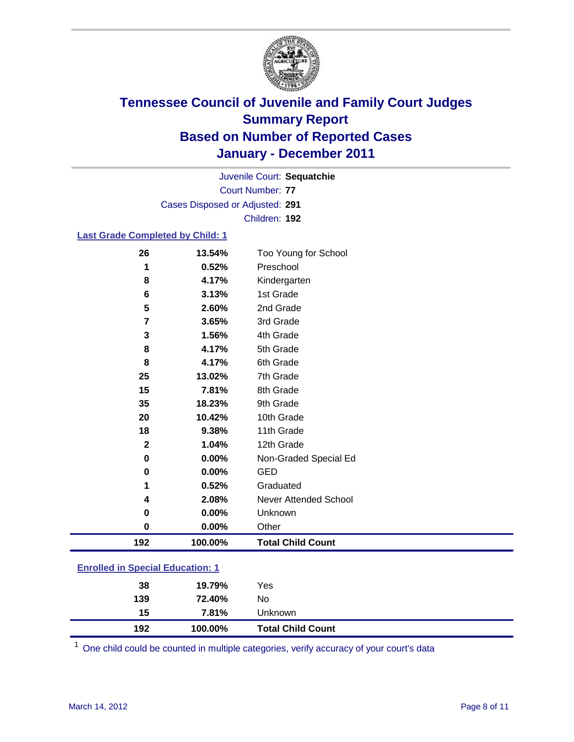

Court Number: **77** Juvenile Court: **Sequatchie** Cases Disposed or Adjusted: **291** Children: **192**

#### **Last Grade Completed by Child: 1**

| 26                                      | 13.54%  | Too Young for School     |
|-----------------------------------------|---------|--------------------------|
| 1                                       | 0.52%   | Preschool                |
| 8                                       | 4.17%   | Kindergarten             |
| 6                                       | 3.13%   | 1st Grade                |
| 5                                       | 2.60%   | 2nd Grade                |
| 7                                       | 3.65%   | 3rd Grade                |
| 3                                       | 1.56%   | 4th Grade                |
| 8                                       | 4.17%   | 5th Grade                |
| 8                                       | 4.17%   | 6th Grade                |
| 25                                      | 13.02%  | 7th Grade                |
| 15                                      | 7.81%   | 8th Grade                |
| 35                                      | 18.23%  | 9th Grade                |
| 20                                      | 10.42%  | 10th Grade               |
| 18                                      | 9.38%   | 11th Grade               |
| $\mathbf{2}$                            | 1.04%   | 12th Grade               |
| 0                                       | 0.00%   | Non-Graded Special Ed    |
| 0                                       | 0.00%   | <b>GED</b>               |
| 1                                       | 0.52%   | Graduated                |
| 4                                       | 2.08%   | Never Attended School    |
| 0                                       | 0.00%   | Unknown                  |
| 0                                       | 0.00%   | Other                    |
| 192                                     | 100.00% | <b>Total Child Count</b> |
| <b>Enrolled in Special Education: 1</b> |         |                          |

| 192           | 100.00% | <b>Total Child Count</b> |
|---------------|---------|--------------------------|
| 15            | 7.81%   | Unknown                  |
| 139           | 72.40%  | No                       |
| 38            | 19.79%  | Yes                      |
| ------------- |         |                          |

One child could be counted in multiple categories, verify accuracy of your court's data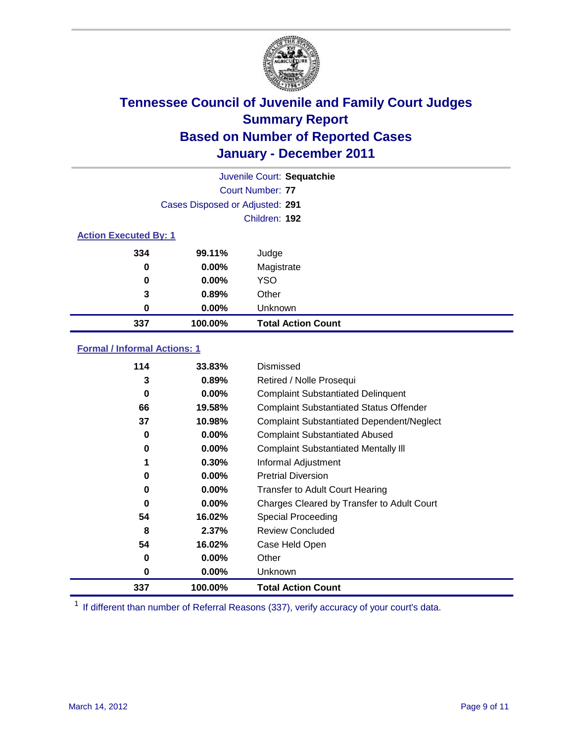

|          |                                 | Juvenile Court: Sequatchie |  |  |
|----------|---------------------------------|----------------------------|--|--|
|          |                                 | Court Number: 77           |  |  |
|          | Cases Disposed or Adjusted: 291 |                            |  |  |
|          |                                 | Children: 192              |  |  |
|          | <b>Action Executed By: 1</b>    |                            |  |  |
| 334      | 99.11%                          | Judge                      |  |  |
| $\bf{0}$ | $0.00\%$                        | Magistrate                 |  |  |
| $\bf{0}$ | $0.00\%$                        | <b>YSO</b>                 |  |  |
| 3        | 0.89%                           | Other                      |  |  |
| 0        | 0.00%                           | Unknown                    |  |  |
| 337      | 100.00%                         | <b>Total Action Count</b>  |  |  |

### **Formal / Informal Actions: 1**

| 114 | 33.83%   | Dismissed                                        |
|-----|----------|--------------------------------------------------|
| 3   | 0.89%    | Retired / Nolle Prosequi                         |
| 0   | $0.00\%$ | <b>Complaint Substantiated Delinquent</b>        |
| 66  | 19.58%   | <b>Complaint Substantiated Status Offender</b>   |
| 37  | 10.98%   | <b>Complaint Substantiated Dependent/Neglect</b> |
| 0   | 0.00%    | <b>Complaint Substantiated Abused</b>            |
| 0   | $0.00\%$ | <b>Complaint Substantiated Mentally III</b>      |
|     | 0.30%    | Informal Adjustment                              |
| 0   | $0.00\%$ | <b>Pretrial Diversion</b>                        |
| 0   | 0.00%    | <b>Transfer to Adult Court Hearing</b>           |
| 0   | $0.00\%$ | Charges Cleared by Transfer to Adult Court       |
| 54  | 16.02%   | Special Proceeding                               |
| 8   | 2.37%    | <b>Review Concluded</b>                          |
| 54  | 16.02%   | Case Held Open                                   |
| 0   | $0.00\%$ | Other                                            |
| 0   | $0.00\%$ | Unknown                                          |
| 337 | 100.00%  | <b>Total Action Count</b>                        |

<sup>1</sup> If different than number of Referral Reasons (337), verify accuracy of your court's data.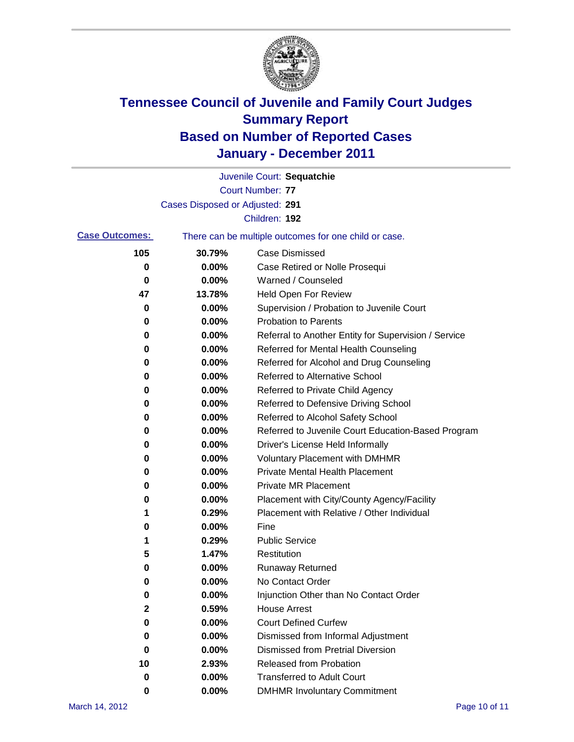

|                       |                                 | Juvenile Court: Sequatchie                            |
|-----------------------|---------------------------------|-------------------------------------------------------|
|                       |                                 | <b>Court Number: 77</b>                               |
|                       | Cases Disposed or Adjusted: 291 |                                                       |
|                       |                                 | Children: 192                                         |
| <b>Case Outcomes:</b> |                                 | There can be multiple outcomes for one child or case. |
| 105                   | 30.79%                          | <b>Case Dismissed</b>                                 |
| 0                     | 0.00%                           | Case Retired or Nolle Prosequi                        |
| 0                     | 0.00%                           | Warned / Counseled                                    |
| 47                    | 13.78%                          | <b>Held Open For Review</b>                           |
| 0                     | 0.00%                           | Supervision / Probation to Juvenile Court             |
| 0                     | 0.00%                           | <b>Probation to Parents</b>                           |
| 0                     | 0.00%                           | Referral to Another Entity for Supervision / Service  |
| 0                     | 0.00%                           | Referred for Mental Health Counseling                 |
| 0                     | 0.00%                           | Referred for Alcohol and Drug Counseling              |
| 0                     | 0.00%                           | Referred to Alternative School                        |
| 0                     | 0.00%                           | Referred to Private Child Agency                      |
| 0                     | 0.00%                           | Referred to Defensive Driving School                  |
| 0                     | 0.00%                           | Referred to Alcohol Safety School                     |
| 0                     | 0.00%                           | Referred to Juvenile Court Education-Based Program    |
| 0                     | 0.00%                           | Driver's License Held Informally                      |
| 0                     | 0.00%                           | <b>Voluntary Placement with DMHMR</b>                 |
| 0                     | 0.00%                           | <b>Private Mental Health Placement</b>                |
| 0                     | 0.00%                           | <b>Private MR Placement</b>                           |
| 0                     | 0.00%                           | Placement with City/County Agency/Facility            |
| 1                     | 0.29%                           | Placement with Relative / Other Individual            |
| 0                     | 0.00%                           | Fine                                                  |
| 1                     | 0.29%                           | <b>Public Service</b>                                 |
| 5                     | 1.47%                           | Restitution                                           |
| 0                     | 0.00%                           | Runaway Returned                                      |
| 0                     | 0.00%                           | No Contact Order                                      |
| 0                     | 0.00%                           | Injunction Other than No Contact Order                |
| $\mathbf 2$           | 0.59%                           | <b>House Arrest</b>                                   |
| 0                     | 0.00%                           | <b>Court Defined Curfew</b>                           |
| 0                     | 0.00%                           | Dismissed from Informal Adjustment                    |
| 0                     | 0.00%                           | <b>Dismissed from Pretrial Diversion</b>              |
| 10                    | 2.93%                           | Released from Probation                               |
| 0                     | 0.00%                           | <b>Transferred to Adult Court</b>                     |
| 0                     | 0.00%                           | <b>DMHMR Involuntary Commitment</b>                   |